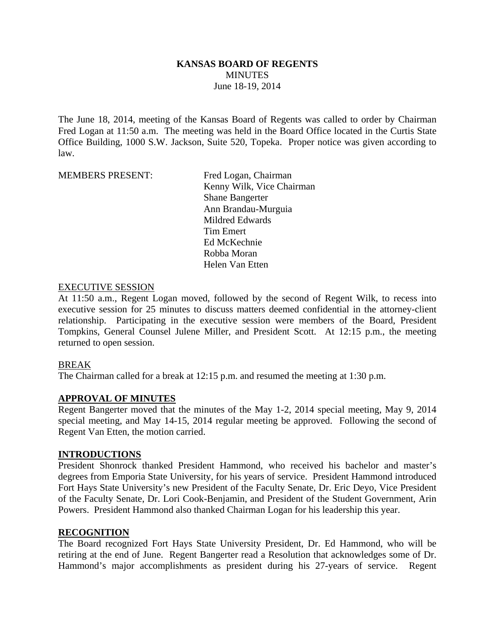### **KANSAS BOARD OF REGENTS MINUTES** June 18-19, 2014

The June 18, 2014, meeting of the Kansas Board of Regents was called to order by Chairman Fred Logan at 11:50 a.m. The meeting was held in the Board Office located in the Curtis State Office Building, 1000 S.W. Jackson, Suite 520, Topeka. Proper notice was given according to law.

MEMBERS PRESENT: Fred Logan, Chairman

 Kenny Wilk, Vice Chairman Shane Bangerter Ann Brandau-Murguia Mildred Edwards Tim Emert Ed McKechnie Robba Moran Helen Van Etten

### EXECUTIVE SESSION

At 11:50 a.m., Regent Logan moved, followed by the second of Regent Wilk, to recess into executive session for 25 minutes to discuss matters deemed confidential in the attorney-client relationship. Participating in the executive session were members of the Board, President Tompkins, General Counsel Julene Miller, and President Scott. At 12:15 p.m., the meeting returned to open session.

### BREAK

The Chairman called for a break at 12:15 p.m. and resumed the meeting at 1:30 p.m.

#### **APPROVAL OF MINUTES**

Regent Bangerter moved that the minutes of the May 1-2, 2014 special meeting, May 9, 2014 special meeting, and May 14-15, 2014 regular meeting be approved. Following the second of Regent Van Etten, the motion carried.

#### **INTRODUCTIONS**

President Shonrock thanked President Hammond, who received his bachelor and master's degrees from Emporia State University, for his years of service. President Hammond introduced Fort Hays State University's new President of the Faculty Senate, Dr. Eric Deyo, Vice President of the Faculty Senate, Dr. Lori Cook-Benjamin, and President of the Student Government, Arin Powers. President Hammond also thanked Chairman Logan for his leadership this year.

#### **RECOGNITION**

The Board recognized Fort Hays State University President, Dr. Ed Hammond, who will be retiring at the end of June. Regent Bangerter read a Resolution that acknowledges some of Dr. Hammond's major accomplishments as president during his 27-years of service. Regent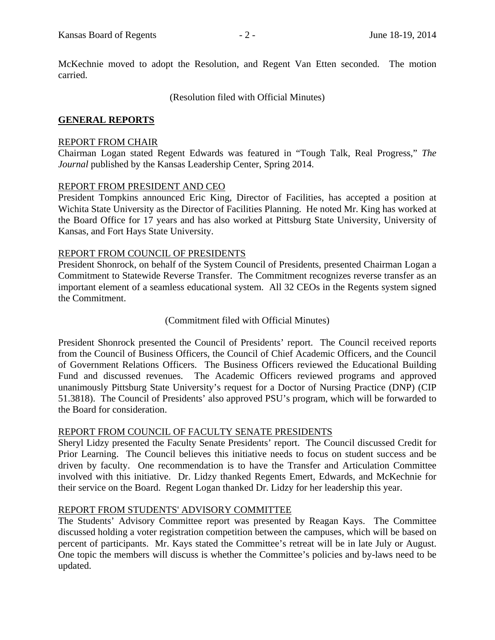McKechnie moved to adopt the Resolution, and Regent Van Etten seconded. The motion carried.

(Resolution filed with Official Minutes)

### **GENERAL REPORTS**

### REPORT FROM CHAIR

Chairman Logan stated Regent Edwards was featured in "Tough Talk, Real Progress," *The Journal* published by the Kansas Leadership Center, Spring 2014.

### REPORT FROM PRESIDENT AND CEO

President Tompkins announced Eric King, Director of Facilities, has accepted a position at Wichita State University as the Director of Facilities Planning. He noted Mr. King has worked at the Board Office for 17 years and has also worked at Pittsburg State University, University of Kansas, and Fort Hays State University.

### REPORT FROM COUNCIL OF PRESIDENTS

President Shonrock, on behalf of the System Council of Presidents, presented Chairman Logan a Commitment to Statewide Reverse Transfer. The Commitment recognizes reverse transfer as an important element of a seamless educational system. All 32 CEOs in the Regents system signed the Commitment.

#### (Commitment filed with Official Minutes)

President Shonrock presented the Council of Presidents' report. The Council received reports from the Council of Business Officers, the Council of Chief Academic Officers, and the Council of Government Relations Officers. The Business Officers reviewed the Educational Building Fund and discussed revenues. The Academic Officers reviewed programs and approved unanimously Pittsburg State University's request for a Doctor of Nursing Practice (DNP) (CIP 51.3818). The Council of Presidents' also approved PSU's program, which will be forwarded to the Board for consideration.

#### REPORT FROM COUNCIL OF FACULTY SENATE PRESIDENTS

Sheryl Lidzy presented the Faculty Senate Presidents' report. The Council discussed Credit for Prior Learning. The Council believes this initiative needs to focus on student success and be driven by faculty. One recommendation is to have the Transfer and Articulation Committee involved with this initiative. Dr. Lidzy thanked Regents Emert, Edwards, and McKechnie for their service on the Board. Regent Logan thanked Dr. Lidzy for her leadership this year.

### REPORT FROM STUDENTS' ADVISORY COMMITTEE

The Students' Advisory Committee report was presented by Reagan Kays. The Committee discussed holding a voter registration competition between the campuses, which will be based on percent of participants. Mr. Kays stated the Committee's retreat will be in late July or August. One topic the members will discuss is whether the Committee's policies and by-laws need to be updated.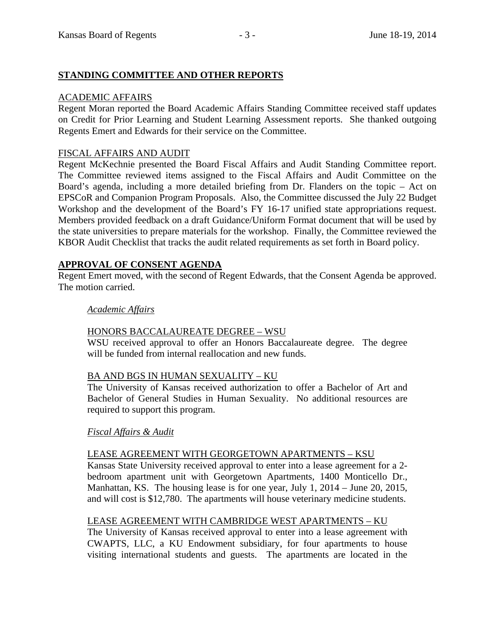# **STANDING COMMITTEE AND OTHER REPORTS**

### ACADEMIC AFFAIRS

Regent Moran reported the Board Academic Affairs Standing Committee received staff updates on Credit for Prior Learning and Student Learning Assessment reports. She thanked outgoing Regents Emert and Edwards for their service on the Committee.

## FISCAL AFFAIRS AND AUDIT

Regent McKechnie presented the Board Fiscal Affairs and Audit Standing Committee report. The Committee reviewed items assigned to the Fiscal Affairs and Audit Committee on the Board's agenda, including a more detailed briefing from Dr. Flanders on the topic – Act on EPSCoR and Companion Program Proposals. Also, the Committee discussed the July 22 Budget Workshop and the development of the Board's FY 16-17 unified state appropriations request. Members provided feedback on a draft Guidance/Uniform Format document that will be used by the state universities to prepare materials for the workshop. Finally, the Committee reviewed the KBOR Audit Checklist that tracks the audit related requirements as set forth in Board policy.

### **APPROVAL OF CONSENT AGENDA**

Regent Emert moved, with the second of Regent Edwards, that the Consent Agenda be approved. The motion carried.

### *Academic Affairs*

### HONORS BACCALAUREATE DEGREE – WSU

WSU received approval to offer an Honors Baccalaureate degree. The degree will be funded from internal reallocation and new funds.

### BA AND BGS IN HUMAN SEXUALITY – KU

The University of Kansas received authorization to offer a Bachelor of Art and Bachelor of General Studies in Human Sexuality. No additional resources are required to support this program.

### *Fiscal Affairs & Audit*

### LEASE AGREEMENT WITH GEORGETOWN APARTMENTS – KSU

Kansas State University received approval to enter into a lease agreement for a 2 bedroom apartment unit with Georgetown Apartments, 1400 Monticello Dr., Manhattan, KS. The housing lease is for one year, July 1, 2014 – June 20, 2015, and will cost is \$12,780. The apartments will house veterinary medicine students.

### LEASE AGREEMENT WITH CAMBRIDGE WEST APARTMENTS – KU

The University of Kansas received approval to enter into a lease agreement with CWAPTS, LLC, a KU Endowment subsidiary, for four apartments to house visiting international students and guests. The apartments are located in the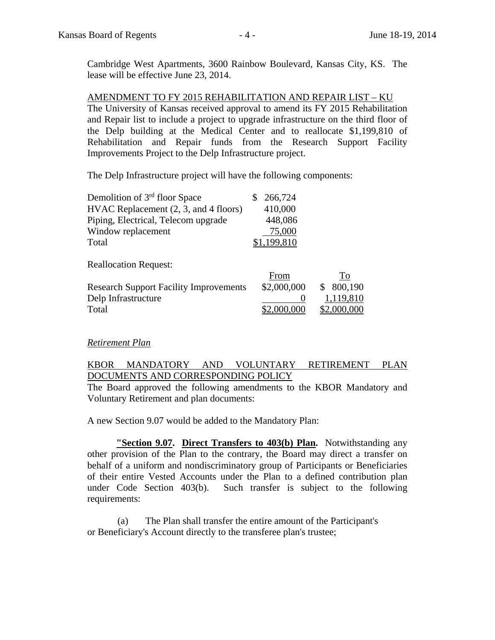Cambridge West Apartments, 3600 Rainbow Boulevard, Kansas City, KS. The lease will be effective June 23, 2014.

AMENDMENT TO FY 2015 REHABILITATION AND REPAIR LIST – KU The University of Kansas received approval to amend its FY 2015 Rehabilitation and Repair list to include a project to upgrade infrastructure on the third floor of the Delp building at the Medical Center and to reallocate \$1,199,810 of Rehabilitation and Repair funds from the Research Support Facility Improvements Project to the Delp Infrastructure project.

The Delp Infrastructure project will have the following components:

| \$266,724   |
|-------------|
| 410,000     |
| 448,086     |
| 75,000      |
| \$1,199,810 |
|             |

Reallocation Request:

|                                               | From        | <u>  [0</u> |
|-----------------------------------------------|-------------|-------------|
| <b>Research Support Facility Improvements</b> | \$2,000,000 | \$800,190   |
| Delp Infrastructure                           |             | 1,119,810   |
| Total                                         | \$2,000,000 | \$2,000,000 |

#### *Retirement Plan*

### KBOR MANDATORY AND VOLUNTARY RETIREMENT PLAN DOCUMENTS AND CORRESPONDING POLICY

The Board approved the following amendments to the KBOR Mandatory and Voluntary Retirement and plan documents:

A new Section 9.07 would be added to the Mandatory Plan:

**"Section 9.07. Direct Transfers to 403(b) Plan.** Notwithstanding any other provision of the Plan to the contrary, the Board may direct a transfer on behalf of a uniform and nondiscriminatory group of Participants or Beneficiaries of their entire Vested Accounts under the Plan to a defined contribution plan under Code Section 403(b). Such transfer is subject to the following requirements:

(a) The Plan shall transfer the entire amount of the Participant's or Beneficiary's Account directly to the transferee plan's trustee;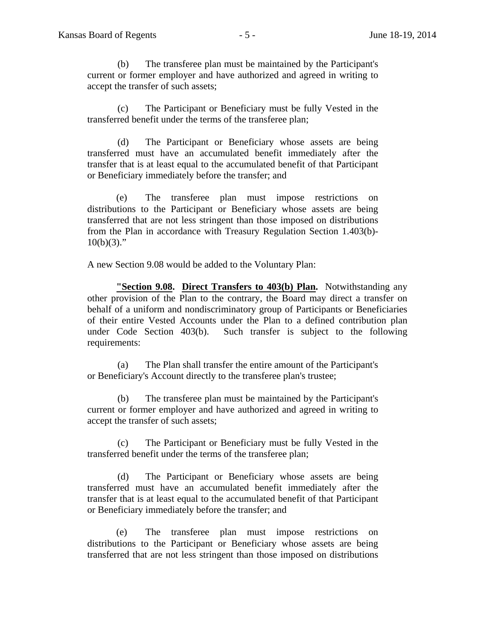(b) The transferee plan must be maintained by the Participant's current or former employer and have authorized and agreed in writing to accept the transfer of such assets;

(c) The Participant or Beneficiary must be fully Vested in the transferred benefit under the terms of the transferee plan;

(d) The Participant or Beneficiary whose assets are being transferred must have an accumulated benefit immediately after the transfer that is at least equal to the accumulated benefit of that Participant or Beneficiary immediately before the transfer; and

 (e) The transferee plan must impose restrictions on distributions to the Participant or Beneficiary whose assets are being transferred that are not less stringent than those imposed on distributions from the Plan in accordance with Treasury Regulation Section 1.403(b)-  $10(b)(3)$ ."

A new Section 9.08 would be added to the Voluntary Plan:

**"Section 9.08. Direct Transfers to 403(b) Plan.** Notwithstanding any other provision of the Plan to the contrary, the Board may direct a transfer on behalf of a uniform and nondiscriminatory group of Participants or Beneficiaries of their entire Vested Accounts under the Plan to a defined contribution plan under Code Section 403(b). Such transfer is subject to the following requirements:

(a) The Plan shall transfer the entire amount of the Participant's or Beneficiary's Account directly to the transferee plan's trustee;

(b) The transferee plan must be maintained by the Participant's current or former employer and have authorized and agreed in writing to accept the transfer of such assets;

(c) The Participant or Beneficiary must be fully Vested in the transferred benefit under the terms of the transferee plan;

(d) The Participant or Beneficiary whose assets are being transferred must have an accumulated benefit immediately after the transfer that is at least equal to the accumulated benefit of that Participant or Beneficiary immediately before the transfer; and

(e) The transferee plan must impose restrictions on distributions to the Participant or Beneficiary whose assets are being transferred that are not less stringent than those imposed on distributions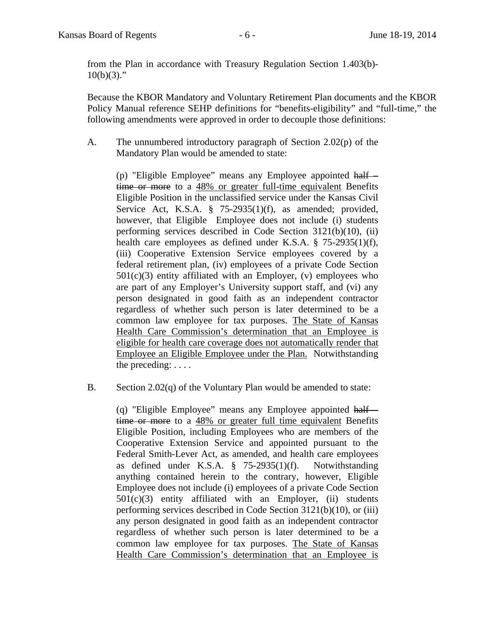from the Plan in accordance with Treasury Regulation Section 1.403(b)-  $10(b)(3)$ ."

Because the KBOR Mandatory and Voluntary Retirement Plan documents and the KBOR Policy Manual reference SEHP definitions for "benefits-eligibility" and "full-time," the following amendments were approved in order to decouple those definitions:

A. The unnumbered introductory paragraph of Section 2.02(p) of the Mandatory Plan would be amended to state:

(p) "Eligible Employee" means any Employee appointed half time or more to a 48% or greater full-time equivalent Benefits Eligible Position in the unclassified service under the Kansas Civil Service Act, K.S.A. § 75-2935(1)(f), as amended; provided, however, that Eligible Employee does not include (i) students performing services described in Code Section 3121(b)(10), (ii) health care employees as defined under K.S.A. § 75-2935(1)(f), (iii) Cooperative Extension Service employees covered by a federal retirement plan, (iv) employees of a private Code Section  $501(c)(3)$  entity affiliated with an Employer, (v) employees who are part of any Employer's University support staff, and (vi) any person designated in good faith as an independent contractor regardless of whether such person is later determined to be a common law employee for tax purposes. The State of Kansas Health Care Commission's determination that an Employee is eligible for health care coverage does not automatically render that Employee an Eligible Employee under the Plan. Notwithstanding the preceding: . . . .

B. Section 2.02(q) of the Voluntary Plan would be amended to state:

(q) "Eligible Employee" means any Employee appointed half – time or more to a 48% or greater full time equivalent Benefits Eligible Position, including Employees who are members of the Cooperative Extension Service and appointed pursuant to the Federal Smith-Lever Act, as amended, and health care employees as defined under K.S.A. § 75-2935(1)(f). Notwithstanding anything contained herein to the contrary, however, Eligible Employee does not include (i) employees of a private Code Section  $501(c)(3)$  entity affiliated with an Employer, (ii) students performing services described in Code Section 3121(b)(10), or (iii) any person designated in good faith as an independent contractor regardless of whether such person is later determined to be a common law employee for tax purposes. The State of Kansas Health Care Commission's determination that an Employee is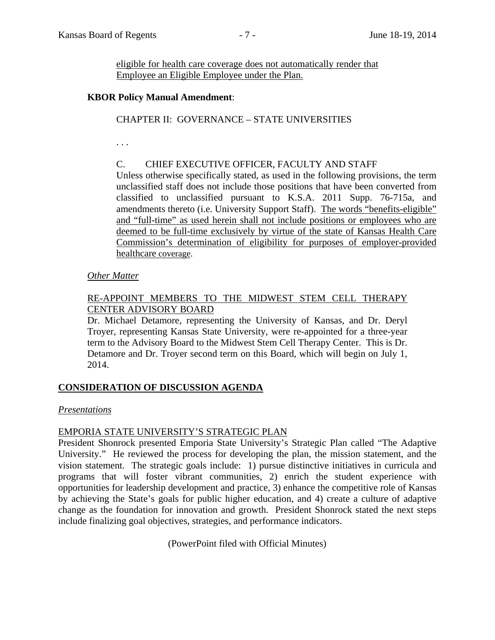eligible for health care coverage does not automatically render that Employee an Eligible Employee under the Plan.

### **KBOR Policy Manual Amendment**:

## CHAPTER II: GOVERNANCE – STATE UNIVERSITIES

. . .

## C. CHIEF EXECUTIVE OFFICER, FACULTY AND STAFF

Unless otherwise specifically stated, as used in the following provisions, the term unclassified staff does not include those positions that have been converted from classified to unclassified pursuant to K.S.A. 2011 Supp. 76-715a, and amendments thereto (i.e. University Support Staff). The words "benefits-eligible" and "full-time" as used herein shall not include positions or employees who are deemed to be full-time exclusively by virtue of the state of Kansas Health Care Commission's determination of eligibility for purposes of employer-provided healthcare coverage.

### *Other Matter*

# RE-APPOINT MEMBERS TO THE MIDWEST STEM CELL THERAPY CENTER ADVISORY BOARD

Dr. Michael Detamore, representing the University of Kansas, and Dr. Deryl Troyer, representing Kansas State University, were re-appointed for a three-year term to the Advisory Board to the Midwest Stem Cell Therapy Center. This is Dr. Detamore and Dr. Troyer second term on this Board, which will begin on July 1, 2014.

# **CONSIDERATION OF DISCUSSION AGENDA**

### *Presentations*

### EMPORIA STATE UNIVERSITY'S STRATEGIC PLAN

President Shonrock presented Emporia State University's Strategic Plan called "The Adaptive University." He reviewed the process for developing the plan, the mission statement, and the vision statement. The strategic goals include: 1) pursue distinctive initiatives in curricula and programs that will foster vibrant communities, 2) enrich the student experience with opportunities for leadership development and practice, 3) enhance the competitive role of Kansas by achieving the State's goals for public higher education, and 4) create a culture of adaptive change as the foundation for innovation and growth. President Shonrock stated the next steps include finalizing goal objectives, strategies, and performance indicators.

(PowerPoint filed with Official Minutes)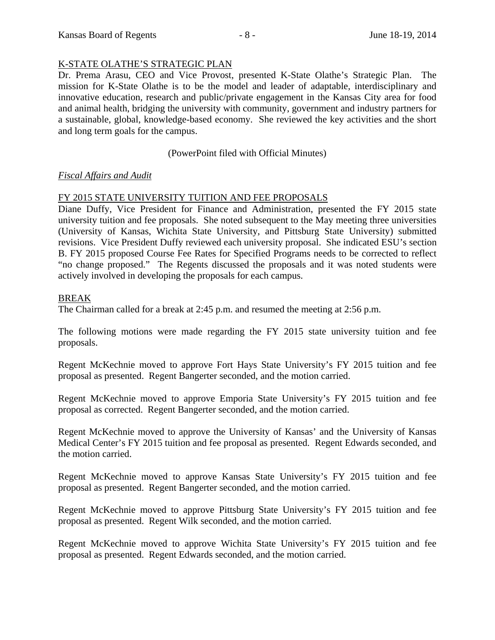## K-STATE OLATHE'S STRATEGIC PLAN

Dr. Prema Arasu, CEO and Vice Provost, presented K-State Olathe's Strategic Plan. The mission for K-State Olathe is to be the model and leader of adaptable, interdisciplinary and innovative education, research and public/private engagement in the Kansas City area for food and animal health, bridging the university with community, government and industry partners for a sustainable, global, knowledge-based economy. She reviewed the key activities and the short and long term goals for the campus.

## (PowerPoint filed with Official Minutes)

### *Fiscal Affairs and Audit*

## FY 2015 STATE UNIVERSITY TUITION AND FEE PROPOSALS

Diane Duffy, Vice President for Finance and Administration, presented the FY 2015 state university tuition and fee proposals. She noted subsequent to the May meeting three universities (University of Kansas, Wichita State University, and Pittsburg State University) submitted revisions. Vice President Duffy reviewed each university proposal. She indicated ESU's section B. FY 2015 proposed Course Fee Rates for Specified Programs needs to be corrected to reflect "no change proposed." The Regents discussed the proposals and it was noted students were actively involved in developing the proposals for each campus.

### BREAK

The Chairman called for a break at 2:45 p.m. and resumed the meeting at 2:56 p.m.

The following motions were made regarding the FY 2015 state university tuition and fee proposals.

Regent McKechnie moved to approve Fort Hays State University's FY 2015 tuition and fee proposal as presented. Regent Bangerter seconded, and the motion carried.

Regent McKechnie moved to approve Emporia State University's FY 2015 tuition and fee proposal as corrected. Regent Bangerter seconded, and the motion carried.

Regent McKechnie moved to approve the University of Kansas' and the University of Kansas Medical Center's FY 2015 tuition and fee proposal as presented. Regent Edwards seconded, and the motion carried.

Regent McKechnie moved to approve Kansas State University's FY 2015 tuition and fee proposal as presented. Regent Bangerter seconded, and the motion carried.

Regent McKechnie moved to approve Pittsburg State University's FY 2015 tuition and fee proposal as presented. Regent Wilk seconded, and the motion carried.

Regent McKechnie moved to approve Wichita State University's FY 2015 tuition and fee proposal as presented. Regent Edwards seconded, and the motion carried.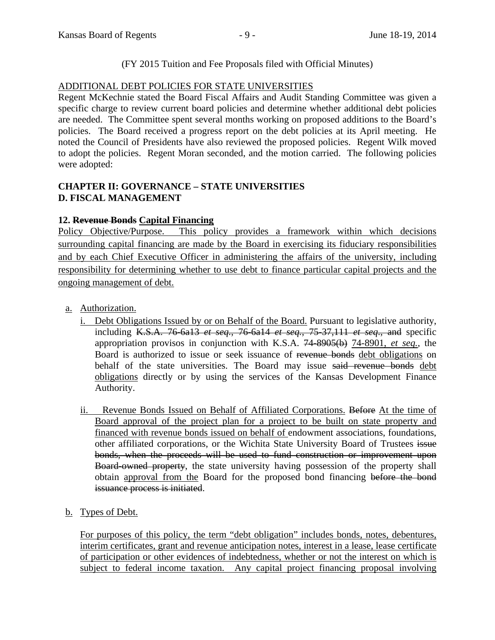# (FY 2015 Tuition and Fee Proposals filed with Official Minutes)

# ADDITIONAL DEBT POLICIES FOR STATE UNIVERSITIES

Regent McKechnie stated the Board Fiscal Affairs and Audit Standing Committee was given a specific charge to review current board policies and determine whether additional debt policies are needed. The Committee spent several months working on proposed additions to the Board's policies. The Board received a progress report on the debt policies at its April meeting. He noted the Council of Presidents have also reviewed the proposed policies. Regent Wilk moved to adopt the policies. Regent Moran seconded, and the motion carried. The following policies were adopted:

# **CHAPTER II: GOVERNANCE – STATE UNIVERSITIES D. FISCAL MANAGEMENT**

# **12. Revenue Bonds Capital Financing**

Policy Objective/Purpose. This policy provides a framework within which decisions surrounding capital financing are made by the Board in exercising its fiduciary responsibilities and by each Chief Executive Officer in administering the affairs of the university, including responsibility for determining whether to use debt to finance particular capital projects and the ongoing management of debt.

- a. Authorization.
	- i. Debt Obligations Issued by or on Behalf of the Board. Pursuant to legislative authority, including K.S.A. 76-6a13 *et seq.*, 76-6a14 *et seq.*, 75-37,111 *et seq*., and specific appropriation provisos in conjunction with K.S.A. 74-8905(b) 74-8901, *et seq.*, the Board is authorized to issue or seek issuance of revenue bonds debt obligations on behalf of the state universities. The Board may issue said revenue bonds debt obligations directly or by using the services of the Kansas Development Finance Authority.
	- ii. Revenue Bonds Issued on Behalf of Affiliated Corporations. Before At the time of Board approval of the project plan for a project to be built on state property and financed with revenue bonds issued on behalf of endowment associations, foundations, other affiliated corporations, or the Wichita State University Board of Trustees issue bonds, when the proceeds will be used to fund construction or improvement upon Board-owned property, the state university having possession of the property shall obtain approval from the Board for the proposed bond financing before the bond issuance process is initiated.
- b. Types of Debt.

For purposes of this policy, the term "debt obligation" includes bonds, notes, debentures, interim certificates, grant and revenue anticipation notes, interest in a lease, lease certificate of participation or other evidences of indebtedness, whether or not the interest on which is subject to federal income taxation. Any capital project financing proposal involving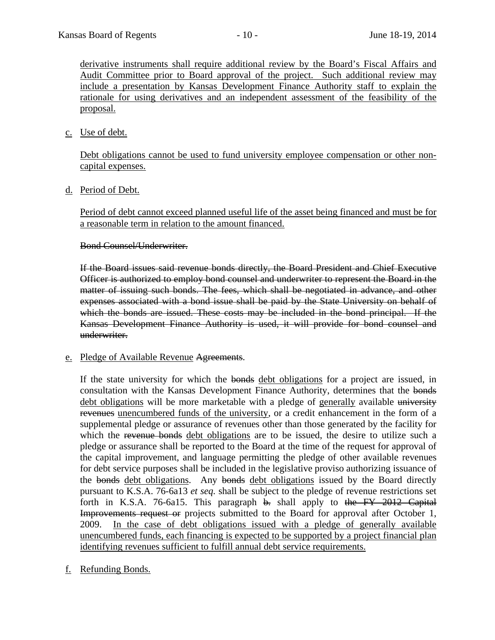derivative instruments shall require additional review by the Board's Fiscal Affairs and Audit Committee prior to Board approval of the project. Such additional review may include a presentation by Kansas Development Finance Authority staff to explain the rationale for using derivatives and an independent assessment of the feasibility of the proposal.

c. Use of debt.

Debt obligations cannot be used to fund university employee compensation or other noncapital expenses.

d. Period of Debt.

Period of debt cannot exceed planned useful life of the asset being financed and must be for a reasonable term in relation to the amount financed.

Bond Counsel/Underwriter.

If the Board issues said revenue bonds directly, the Board President and Chief Executive Officer is authorized to employ bond counsel and underwriter to represent the Board in the matter of issuing such bonds. The fees, which shall be negotiated in advance, and other expenses associated with a bond issue shall be paid by the State University on behalf of which the bonds are issued. These costs may be included in the bond principal. If the Kansas Development Finance Authority is used, it will provide for bond counsel and underwriter.

e. Pledge of Available Revenue Agreements.

If the state university for which the bonds debt obligations for a project are issued, in consultation with the Kansas Development Finance Authority, determines that the bonds debt obligations will be more marketable with a pledge of generally available university revenues unencumbered funds of the university, or a credit enhancement in the form of a supplemental pledge or assurance of revenues other than those generated by the facility for which the revenue bonds debt obligations are to be issued, the desire to utilize such a pledge or assurance shall be reported to the Board at the time of the request for approval of the capital improvement, and language permitting the pledge of other available revenues for debt service purposes shall be included in the legislative proviso authorizing issuance of the bonds debt obligations. Any bonds debt obligations issued by the Board directly pursuant to K.S.A. 76-6a13 *et seq.* shall be subject to the pledge of revenue restrictions set forth in K.S.A. 76-6a15. This paragraph  $\theta$ . shall apply to the FY 2012 Capital Improvements request or projects submitted to the Board for approval after October 1, 2009. In the case of debt obligations issued with a pledge of generally available unencumbered funds, each financing is expected to be supported by a project financial plan identifying revenues sufficient to fulfill annual debt service requirements.

f. Refunding Bonds.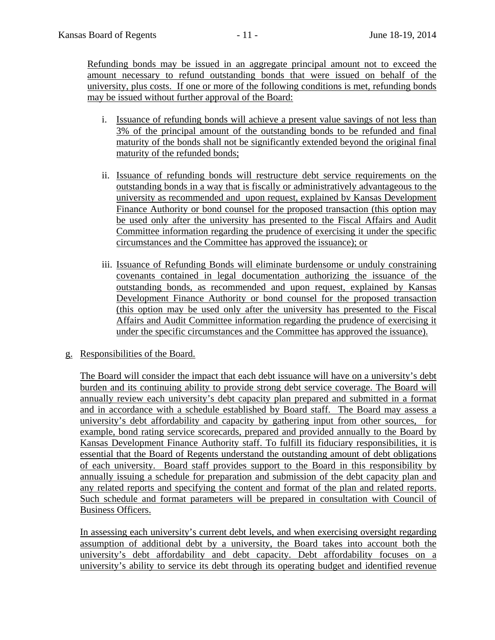Refunding bonds may be issued in an aggregate principal amount not to exceed the amount necessary to refund outstanding bonds that were issued on behalf of the university, plus costs. If one or more of the following conditions is met, refunding bonds may be issued without further approval of the Board:

- i. Issuance of refunding bonds will achieve a present value savings of not less than 3% of the principal amount of the outstanding bonds to be refunded and final maturity of the bonds shall not be significantly extended beyond the original final maturity of the refunded bonds;
- ii. Issuance of refunding bonds will restructure debt service requirements on the outstanding bonds in a way that is fiscally or administratively advantageous to the university as recommended and upon request, explained by Kansas Development Finance Authority or bond counsel for the proposed transaction (this option may be used only after the university has presented to the Fiscal Affairs and Audit Committee information regarding the prudence of exercising it under the specific circumstances and the Committee has approved the issuance); or
- iii. Issuance of Refunding Bonds will eliminate burdensome or unduly constraining covenants contained in legal documentation authorizing the issuance of the outstanding bonds, as recommended and upon request, explained by Kansas Development Finance Authority or bond counsel for the proposed transaction (this option may be used only after the university has presented to the Fiscal Affairs and Audit Committee information regarding the prudence of exercising it under the specific circumstances and the Committee has approved the issuance).

# g. Responsibilities of the Board.

The Board will consider the impact that each debt issuance will have on a university's debt burden and its continuing ability to provide strong debt service coverage. The Board will annually review each university's debt capacity plan prepared and submitted in a format and in accordance with a schedule established by Board staff. The Board may assess a university's debt affordability and capacity by gathering input from other sources, for example, bond rating service scorecards, prepared and provided annually to the Board by Kansas Development Finance Authority staff. To fulfill its fiduciary responsibilities, it is essential that the Board of Regents understand the outstanding amount of debt obligations of each university. Board staff provides support to the Board in this responsibility by annually issuing a schedule for preparation and submission of the debt capacity plan and any related reports and specifying the content and format of the plan and related reports. Such schedule and format parameters will be prepared in consultation with Council of Business Officers.

In assessing each university's current debt levels, and when exercising oversight regarding assumption of additional debt by a university, the Board takes into account both the university's debt affordability and debt capacity. Debt affordability focuses on a university's ability to service its debt through its operating budget and identified revenue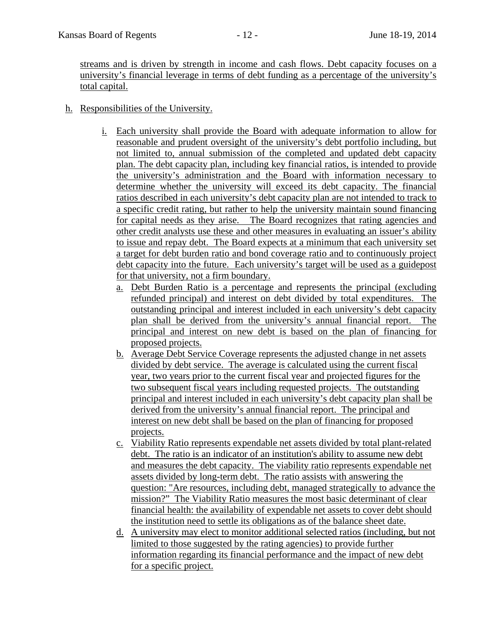streams and is driven by strength in income and cash flows. Debt capacity focuses on a university's financial leverage in terms of debt funding as a percentage of the university's total capital.

- h. Responsibilities of the University.
	- i. Each university shall provide the Board with adequate information to allow for reasonable and prudent oversight of the university's debt portfolio including, but not limited to, annual submission of the completed and updated debt capacity plan. The debt capacity plan, including key financial ratios, is intended to provide the university's administration and the Board with information necessary to determine whether the university will exceed its debt capacity. The financial ratios described in each university's debt capacity plan are not intended to track to a specific credit rating, but rather to help the university maintain sound financing for capital needs as they arise. The Board recognizes that rating agencies and other credit analysts use these and other measures in evaluating an issuer's ability to issue and repay debt. The Board expects at a minimum that each university set a target for debt burden ratio and bond coverage ratio and to continuously project debt capacity into the future. Each university's target will be used as a guidepost for that university, not a firm boundary.
		- a. Debt Burden Ratio is a percentage and represents the principal (excluding refunded principal) and interest on debt divided by total expenditures. The outstanding principal and interest included in each university's debt capacity plan shall be derived from the university's annual financial report. The principal and interest on new debt is based on the plan of financing for proposed projects.
		- b. Average Debt Service Coverage represents the adjusted change in net assets divided by debt service. The average is calculated using the current fiscal year, two years prior to the current fiscal year and projected figures for the two subsequent fiscal years including requested projects. The outstanding principal and interest included in each university's debt capacity plan shall be derived from the university's annual financial report. The principal and interest on new debt shall be based on the plan of financing for proposed projects.
		- c. Viability Ratio represents expendable net assets divided by total plant-related debt. The ratio is an indicator of an institution's ability to assume new debt and measures the debt capacity. The viability ratio represents expendable net assets divided by long-term debt. The ratio assists with answering the question: "Are resources, including debt, managed strategically to advance the mission?" The Viability Ratio measures the most basic determinant of clear financial health: the availability of expendable net assets to cover debt should the institution need to settle its obligations as of the balance sheet date.
		- d. A university may elect to monitor additional selected ratios (including, but not limited to those suggested by the rating agencies) to provide further information regarding its financial performance and the impact of new debt for a specific project.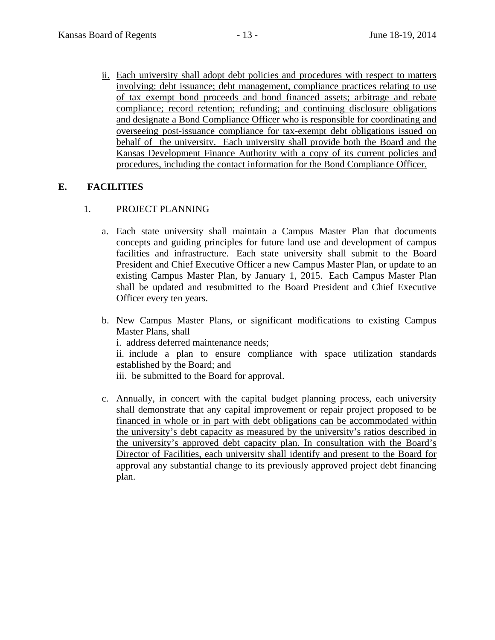ii. Each university shall adopt debt policies and procedures with respect to matters involving: debt issuance; debt management, compliance practices relating to use of tax exempt bond proceeds and bond financed assets; arbitrage and rebate compliance; record retention; refunding; and continuing disclosure obligations and designate a Bond Compliance Officer who is responsible for coordinating and overseeing post-issuance compliance for tax-exempt debt obligations issued on behalf of the university. Each university shall provide both the Board and the Kansas Development Finance Authority with a copy of its current policies and procedures, including the contact information for the Bond Compliance Officer.

# **E. FACILITIES**

## 1. PROJECT PLANNING

- a. Each state university shall maintain a Campus Master Plan that documents concepts and guiding principles for future land use and development of campus facilities and infrastructure. Each state university shall submit to the Board President and Chief Executive Officer a new Campus Master Plan, or update to an existing Campus Master Plan, by January 1, 2015. Each Campus Master Plan shall be updated and resubmitted to the Board President and Chief Executive Officer every ten years.
- b. New Campus Master Plans, or significant modifications to existing Campus Master Plans, shall i. address deferred maintenance needs;

ii. include a plan to ensure compliance with space utilization standards

established by the Board; and

iii. be submitted to the Board for approval.

c. Annually, in concert with the capital budget planning process, each university shall demonstrate that any capital improvement or repair project proposed to be financed in whole or in part with debt obligations can be accommodated within the university's debt capacity as measured by the university's ratios described in the university's approved debt capacity plan. In consultation with the Board's Director of Facilities, each university shall identify and present to the Board for approval any substantial change to its previously approved project debt financing plan.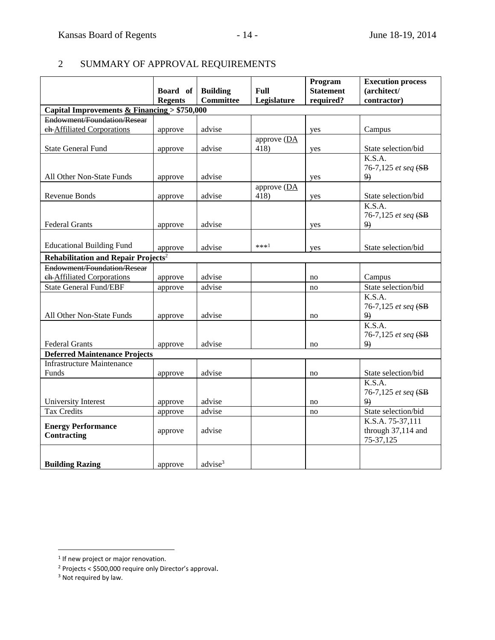# 2 SUMMARY OF APPROVAL REQUIREMENTS

|                                                 | Board of                                      | <b>Building</b>     | <b>Full</b>            | Program<br><b>Statement</b> | <b>Execution process</b><br>(architect/ |  |
|-------------------------------------------------|-----------------------------------------------|---------------------|------------------------|-----------------------------|-----------------------------------------|--|
|                                                 | <b>Regents</b>                                | <b>Committee</b>    | Legislature            | required?                   | contractor)                             |  |
|                                                 | Capital Improvements & Financing $> $750,000$ |                     |                        |                             |                                         |  |
| Endowment/Foundation/Resear                     |                                               |                     |                        |                             |                                         |  |
| ch-Affiliated Corporations                      | approve                                       | advise              |                        | yes                         | Campus                                  |  |
|                                                 |                                               |                     | approve (DA            |                             |                                         |  |
| <b>State General Fund</b>                       | approve                                       | advise              | 418)                   | yes                         | State selection/bid                     |  |
|                                                 |                                               |                     |                        |                             | $\overline{K}.S.A.$                     |  |
|                                                 |                                               |                     |                        |                             | 76-7,125 et seq (SB                     |  |
| All Other Non-State Funds                       | approve                                       | advise              |                        | yes                         | 9)                                      |  |
| <b>Revenue Bonds</b>                            |                                               | advise              | approve $(DA)$<br>418) |                             | State selection/bid                     |  |
|                                                 | approve                                       |                     |                        | yes                         | K.S.A.                                  |  |
|                                                 |                                               |                     |                        |                             | 76-7,125 et seq (SB                     |  |
| <b>Federal Grants</b>                           | approve                                       | advise              |                        | yes                         | 9)                                      |  |
|                                                 |                                               |                     |                        |                             |                                         |  |
| <b>Educational Building Fund</b>                | approve                                       | advise              | $***1$                 | yes                         | State selection/bid                     |  |
| Rehabilitation and Repair Projects <sup>2</sup> |                                               |                     |                        |                             |                                         |  |
| Endowment/Foundation/Resear                     |                                               |                     |                        |                             |                                         |  |
| eh-Affiliated Corporations                      | approve                                       | advise              |                        | no                          | Campus                                  |  |
| <b>State General Fund/EBF</b>                   | approve                                       | advise              |                        | no                          | State selection/bid                     |  |
|                                                 |                                               |                     |                        |                             | K.S.A.                                  |  |
|                                                 |                                               |                     |                        |                             | 76-7,125 et seq (SB                     |  |
| All Other Non-State Funds                       | approve                                       | advise              |                        | no                          | 9)                                      |  |
|                                                 |                                               |                     |                        |                             | K.S.A.                                  |  |
|                                                 |                                               |                     |                        |                             | 76-7,125 et seq (SB                     |  |
| <b>Federal Grants</b>                           | approve                                       | advise              |                        | no                          | 9)                                      |  |
| <b>Deferred Maintenance Projects</b>            |                                               |                     |                        |                             |                                         |  |
| <b>Infrastructure Maintenance</b>               |                                               |                     |                        |                             |                                         |  |
| Funds                                           | approve                                       | advise              |                        | no                          | State selection/bid<br>K.S.A.           |  |
|                                                 |                                               |                     |                        |                             | 76-7,125 et seq (SB                     |  |
| University Interest                             | approve                                       | advise              |                        | no                          | 9)                                      |  |
| <b>Tax Credits</b>                              | approve                                       | advise              |                        | no                          | State selection/bid                     |  |
|                                                 |                                               |                     |                        |                             | K.S.A. 75-37,111                        |  |
| <b>Energy Performance</b>                       | approve                                       | advise              |                        |                             | through 37,114 and                      |  |
| <b>Contracting</b>                              |                                               |                     |                        |                             | 75-37,125                               |  |
|                                                 |                                               |                     |                        |                             |                                         |  |
| <b>Building Razing</b>                          | approve                                       | advise <sup>3</sup> |                        |                             |                                         |  |
|                                                 |                                               |                     |                        |                             |                                         |  |

 $\overline{a}$ 

<sup>&</sup>lt;sup>1</sup> If new project or major renovation.

<sup>2</sup> Projects < \$500,000 require only Director's approval.

<sup>&</sup>lt;sup>3</sup> Not required by law.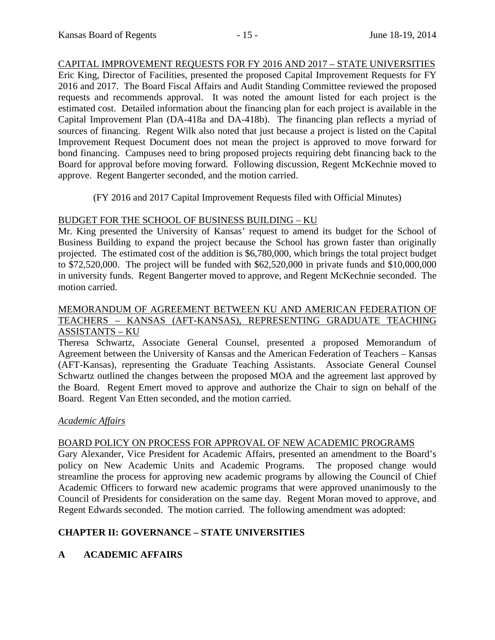CAPITAL IMPROVEMENT REQUESTS FOR FY 2016 AND 2017 – STATE UNIVERSITIES Eric King, Director of Facilities, presented the proposed Capital Improvement Requests for FY 2016 and 2017. The Board Fiscal Affairs and Audit Standing Committee reviewed the proposed requests and recommends approval. It was noted the amount listed for each project is the estimated cost. Detailed information about the financing plan for each project is available in the Capital Improvement Plan (DA-418a and DA-418b). The financing plan reflects a myriad of sources of financing. Regent Wilk also noted that just because a project is listed on the Capital Improvement Request Document does not mean the project is approved to move forward for bond financing. Campuses need to bring proposed projects requiring debt financing back to the Board for approval before moving forward. Following discussion, Regent McKechnie moved to approve. Regent Bangerter seconded, and the motion carried.

(FY 2016 and 2017 Capital Improvement Requests filed with Official Minutes)

# BUDGET FOR THE SCHOOL OF BUSINESS BUILDING – KU

Mr. King presented the University of Kansas' request to amend its budget for the School of Business Building to expand the project because the School has grown faster than originally projected. The estimated cost of the addition is \$6,780,000, which brings the total project budget to \$72,520,000. The project will be funded with \$62,520,000 in private funds and \$10,000,000 in university funds. Regent Bangerter moved to approve, and Regent McKechnie seconded. The motion carried.

## MEMORANDUM OF AGREEMENT BETWEEN KU AND AMERICAN FEDERATION OF TEACHERS – KANSAS (AFT-KANSAS), REPRESENTING GRADUATE TEACHING ASSISTANTS – KU

Theresa Schwartz, Associate General Counsel, presented a proposed Memorandum of Agreement between the University of Kansas and the American Federation of Teachers – Kansas (AFT-Kansas), representing the Graduate Teaching Assistants. Associate General Counsel Schwartz outlined the changes between the proposed MOA and the agreement last approved by the Board. Regent Emert moved to approve and authorize the Chair to sign on behalf of the Board. Regent Van Etten seconded, and the motion carried.

# *Academic Affairs*

# BOARD POLICY ON PROCESS FOR APPROVAL OF NEW ACADEMIC PROGRAMS

Gary Alexander, Vice President for Academic Affairs, presented an amendment to the Board's policy on New Academic Units and Academic Programs. The proposed change would streamline the process for approving new academic programs by allowing the Council of Chief Academic Officers to forward new academic programs that were approved unanimously to the Council of Presidents for consideration on the same day. Regent Moran moved to approve, and Regent Edwards seconded. The motion carried. The following amendment was adopted:

# **CHAPTER II: GOVERNANCE – STATE UNIVERSITIES**

# **A ACADEMIC AFFAIRS**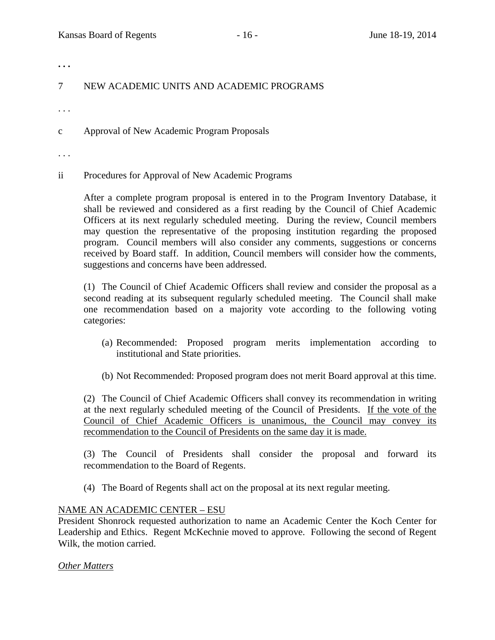**. . .** 

# 7 NEW ACADEMIC UNITS AND ACADEMIC PROGRAMS

. . .

c Approval of New Academic Program Proposals

. . .

ii Procedures for Approval of New Academic Programs

After a complete program proposal is entered in to the Program Inventory Database, it shall be reviewed and considered as a first reading by the Council of Chief Academic Officers at its next regularly scheduled meeting. During the review, Council members may question the representative of the proposing institution regarding the proposed program. Council members will also consider any comments, suggestions or concerns received by Board staff. In addition, Council members will consider how the comments, suggestions and concerns have been addressed.

 (1) The Council of Chief Academic Officers shall review and consider the proposal as a second reading at its subsequent regularly scheduled meeting. The Council shall make one recommendation based on a majority vote according to the following voting categories:

- (a) Recommended: Proposed program merits implementation according to institutional and State priorities.
- (b) Not Recommended: Proposed program does not merit Board approval at this time.

 (2) The Council of Chief Academic Officers shall convey its recommendation in writing at the next regularly scheduled meeting of the Council of Presidents. If the vote of the Council of Chief Academic Officers is unanimous, the Council may convey its recommendation to the Council of Presidents on the same day it is made.

 (3) The Council of Presidents shall consider the proposal and forward its recommendation to the Board of Regents.

(4) The Board of Regents shall act on the proposal at its next regular meeting.

### NAME AN ACADEMIC CENTER – ESU

President Shonrock requested authorization to name an Academic Center the Koch Center for Leadership and Ethics. Regent McKechnie moved to approve. Following the second of Regent Wilk, the motion carried.

### *Other Matters*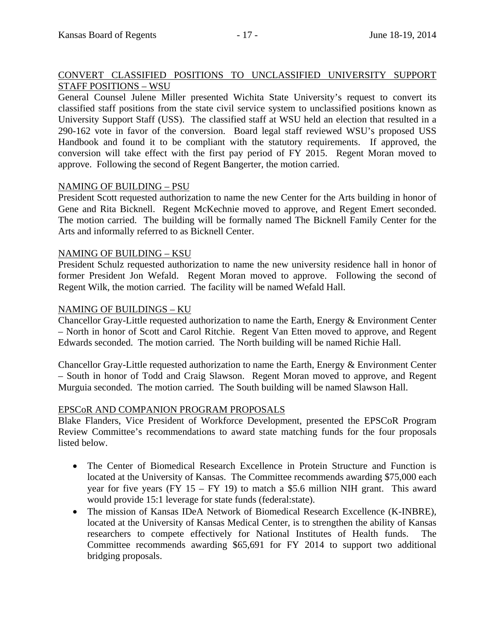# CONVERT CLASSIFIED POSITIONS TO UNCLASSIFIED UNIVERSITY SUPPORT STAFF POSITIONS – WSU

General Counsel Julene Miller presented Wichita State University's request to convert its classified staff positions from the state civil service system to unclassified positions known as University Support Staff (USS). The classified staff at WSU held an election that resulted in a 290-162 vote in favor of the conversion. Board legal staff reviewed WSU's proposed USS Handbook and found it to be compliant with the statutory requirements. If approved, the conversion will take effect with the first pay period of FY 2015. Regent Moran moved to approve. Following the second of Regent Bangerter, the motion carried.

# NAMING OF BUILDING – PSU

President Scott requested authorization to name the new Center for the Arts building in honor of Gene and Rita Bicknell. Regent McKechnie moved to approve, and Regent Emert seconded. The motion carried. The building will be formally named The Bicknell Family Center for the Arts and informally referred to as Bicknell Center.

## NAMING OF BUILDING – KSU

President Schulz requested authorization to name the new university residence hall in honor of former President Jon Wefald. Regent Moran moved to approve. Following the second of Regent Wilk, the motion carried. The facility will be named Wefald Hall.

## NAMING OF BUILDINGS – KU

Chancellor Gray-Little requested authorization to name the Earth, Energy & Environment Center – North in honor of Scott and Carol Ritchie. Regent Van Etten moved to approve, and Regent Edwards seconded. The motion carried. The North building will be named Richie Hall.

Chancellor Gray-Little requested authorization to name the Earth, Energy & Environment Center – South in honor of Todd and Craig Slawson. Regent Moran moved to approve, and Regent Murguia seconded. The motion carried. The South building will be named Slawson Hall.

### EPSCoR AND COMPANION PROGRAM PROPOSALS

Blake Flanders, Vice President of Workforce Development, presented the EPSCoR Program Review Committee's recommendations to award state matching funds for the four proposals listed below.

- The Center of Biomedical Research Excellence in Protein Structure and Function is located at the University of Kansas. The Committee recommends awarding \$75,000 each year for five years (FY  $15 - FY$  19) to match a \$5.6 million NIH grant. This award would provide 15:1 leverage for state funds (federal:state).
- The mission of Kansas IDeA Network of Biomedical Research Excellence (K-INBRE), located at the University of Kansas Medical Center, is to strengthen the ability of Kansas researchers to compete effectively for National Institutes of Health funds. The Committee recommends awarding \$65,691 for FY 2014 to support two additional bridging proposals.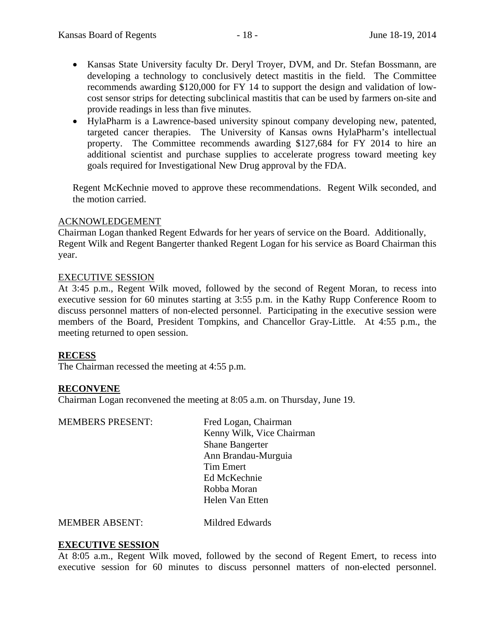- Kansas State University faculty Dr. Deryl Troyer, DVM, and Dr. Stefan Bossmann, are developing a technology to conclusively detect mastitis in the field. The Committee recommends awarding \$120,000 for FY 14 to support the design and validation of lowcost sensor strips for detecting subclinical mastitis that can be used by farmers on-site and provide readings in less than five minutes.
- HylaPharm is a Lawrence-based university spinout company developing new, patented, targeted cancer therapies. The University of Kansas owns HylaPharm's intellectual property. The Committee recommends awarding \$127,684 for FY 2014 to hire an additional scientist and purchase supplies to accelerate progress toward meeting key goals required for Investigational New Drug approval by the FDA.

Regent McKechnie moved to approve these recommendations. Regent Wilk seconded, and the motion carried.

### ACKNOWLEDGEMENT

Chairman Logan thanked Regent Edwards for her years of service on the Board. Additionally, Regent Wilk and Regent Bangerter thanked Regent Logan for his service as Board Chairman this year.

### EXECUTIVE SESSION

At 3:45 p.m., Regent Wilk moved, followed by the second of Regent Moran, to recess into executive session for 60 minutes starting at 3:55 p.m. in the Kathy Rupp Conference Room to discuss personnel matters of non-elected personnel. Participating in the executive session were members of the Board, President Tompkins, and Chancellor Gray-Little. At 4:55 p.m., the meeting returned to open session.

### **RECESS**

The Chairman recessed the meeting at 4:55 p.m.

### **RECONVENE**

Chairman Logan reconvened the meeting at 8:05 a.m. on Thursday, June 19.

| <b>MEMBERS PRESENT:</b> | Fred Logan, Chairman      |
|-------------------------|---------------------------|
|                         | Kenny Wilk, Vice Chairman |
|                         | <b>Shane Bangerter</b>    |
|                         | Ann Brandau-Murguia       |
|                         | <b>Tim Emert</b>          |
|                         | Ed McKechnie              |
|                         | Robba Moran               |
|                         | Helen Van Etten           |
|                         |                           |

MEMBER ABSENT: Mildred Edwards

### **EXECUTIVE SESSION**

At 8:05 a.m., Regent Wilk moved, followed by the second of Regent Emert, to recess into executive session for 60 minutes to discuss personnel matters of non-elected personnel.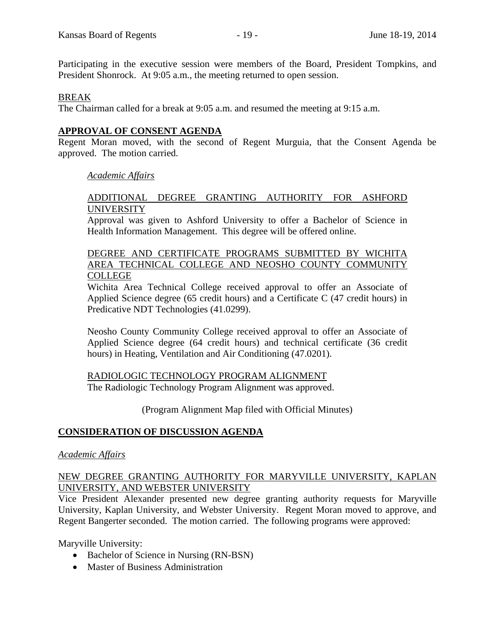Participating in the executive session were members of the Board, President Tompkins, and President Shonrock. At 9:05 a.m., the meeting returned to open session.

### BREAK

The Chairman called for a break at 9:05 a.m. and resumed the meeting at 9:15 a.m.

## **APPROVAL OF CONSENT AGENDA**

Regent Moran moved, with the second of Regent Murguia, that the Consent Agenda be approved. The motion carried.

### *Academic Affairs*

## ADDITIONAL DEGREE GRANTING AUTHORITY FOR ASHFORD **UNIVERSITY**

Approval was given to Ashford University to offer a Bachelor of Science in Health Information Management. This degree will be offered online.

## DEGREE AND CERTIFICATE PROGRAMS SUBMITTED BY WICHITA AREA TECHNICAL COLLEGE AND NEOSHO COUNTY COMMUNITY COLLEGE

Wichita Area Technical College received approval to offer an Associate of Applied Science degree (65 credit hours) and a Certificate C (47 credit hours) in Predicative NDT Technologies (41.0299).

Neosho County Community College received approval to offer an Associate of Applied Science degree (64 credit hours) and technical certificate (36 credit hours) in Heating, Ventilation and Air Conditioning (47.0201).

### RADIOLOGIC TECHNOLOGY PROGRAM ALIGNMENT

The Radiologic Technology Program Alignment was approved.

(Program Alignment Map filed with Official Minutes)

### **CONSIDERATION OF DISCUSSION AGENDA**

### *Academic Affairs*

## NEW DEGREE GRANTING AUTHORITY FOR MARYVILLE UNIVERSITY, KAPLAN UNIVERSITY, AND WEBSTER UNIVERSITY

Vice President Alexander presented new degree granting authority requests for Maryville University, Kaplan University, and Webster University. Regent Moran moved to approve, and Regent Bangerter seconded. The motion carried. The following programs were approved:

Maryville University:

- Bachelor of Science in Nursing (RN-BSN)
- Master of Business Administration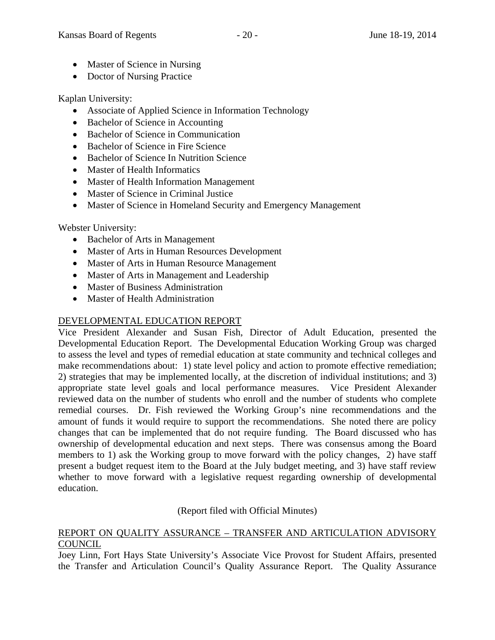- Master of Science in Nursing
- Doctor of Nursing Practice

Kaplan University:

- Associate of Applied Science in Information Technology
- Bachelor of Science in Accounting
- Bachelor of Science in Communication
- Bachelor of Science in Fire Science
- Bachelor of Science In Nutrition Science
- Master of Health Informatics
- Master of Health Information Management
- Master of Science in Criminal Justice
- Master of Science in Homeland Security and Emergency Management

Webster University:

- Bachelor of Arts in Management
- Master of Arts in Human Resources Development
- Master of Arts in Human Resource Management
- Master of Arts in Management and Leadership
- Master of Business Administration
- Master of Health Administration

# DEVELOPMENTAL EDUCATION REPORT

Vice President Alexander and Susan Fish, Director of Adult Education, presented the Developmental Education Report. The Developmental Education Working Group was charged to assess the level and types of remedial education at state community and technical colleges and make recommendations about: 1) state level policy and action to promote effective remediation; 2) strategies that may be implemented locally, at the discretion of individual institutions; and 3) appropriate state level goals and local performance measures. Vice President Alexander reviewed data on the number of students who enroll and the number of students who complete remedial courses. Dr. Fish reviewed the Working Group's nine recommendations and the amount of funds it would require to support the recommendations. She noted there are policy changes that can be implemented that do not require funding. The Board discussed who has ownership of developmental education and next steps. There was consensus among the Board members to 1) ask the Working group to move forward with the policy changes, 2) have staff present a budget request item to the Board at the July budget meeting, and 3) have staff review whether to move forward with a legislative request regarding ownership of developmental education.

(Report filed with Official Minutes)

## REPORT ON QUALITY ASSURANCE – TRANSFER AND ARTICULATION ADVISORY **COUNCIL**

Joey Linn, Fort Hays State University's Associate Vice Provost for Student Affairs, presented the Transfer and Articulation Council's Quality Assurance Report. The Quality Assurance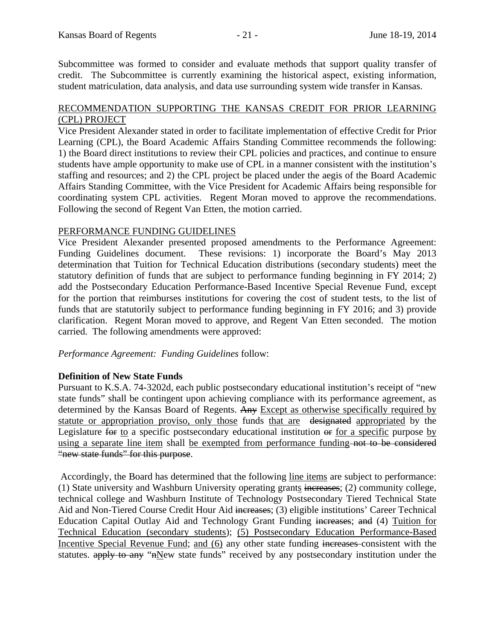Subcommittee was formed to consider and evaluate methods that support quality transfer of credit. The Subcommittee is currently examining the historical aspect, existing information, student matriculation, data analysis, and data use surrounding system wide transfer in Kansas.

## RECOMMENDATION SUPPORTING THE KANSAS CREDIT FOR PRIOR LEARNING (CPL) PROJECT

Vice President Alexander stated in order to facilitate implementation of effective Credit for Prior Learning (CPL), the Board Academic Affairs Standing Committee recommends the following: 1) the Board direct institutions to review their CPL policies and practices, and continue to ensure students have ample opportunity to make use of CPL in a manner consistent with the institution's staffing and resources; and 2) the CPL project be placed under the aegis of the Board Academic Affairs Standing Committee, with the Vice President for Academic Affairs being responsible for coordinating system CPL activities. Regent Moran moved to approve the recommendations. Following the second of Regent Van Etten, the motion carried.

### PERFORMANCE FUNDING GUIDELINES

Vice President Alexander presented proposed amendments to the Performance Agreement: Funding Guidelines document. These revisions: 1) incorporate the Board's May 2013 determination that Tuition for Technical Education distributions (secondary students) meet the statutory definition of funds that are subject to performance funding beginning in FY 2014; 2) add the Postsecondary Education Performance-Based Incentive Special Revenue Fund, except for the portion that reimburses institutions for covering the cost of student tests, to the list of funds that are statutorily subject to performance funding beginning in FY 2016; and 3) provide clarification. Regent Moran moved to approve, and Regent Van Etten seconded. The motion carried. The following amendments were approved:

*Performance Agreement: Funding Guidelines* follow:

# **Definition of New State Funds**

Pursuant to K.S.A. 74-3202d, each public postsecondary educational institution's receipt of "new state funds" shall be contingent upon achieving compliance with its performance agreement, as determined by the Kansas Board of Regents. Any Except as otherwise specifically required by statute or appropriation proviso, only those funds that are designated appropriated by the Legislature for to a specific postsecondary educational institution or for a specific purpose by using a separate line item shall be exempted from performance funding not to be considered "new state funds" for this purpose.

 Accordingly, the Board has determined that the following line items are subject to performance: (1) State university and Washburn University operating grants increases; (2) community college, technical college and Washburn Institute of Technology Postsecondary Tiered Technical State Aid and Non-Tiered Course Credit Hour Aid increases; (3) eligible institutions' Career Technical Education Capital Outlay Aid and Technology Grant Funding increases; and (4) Tuition for Technical Education (secondary students); (5) Postsecondary Education Performance-Based Incentive Special Revenue Fund; and (6) any other state funding increases consistent with the statutes. apply to any "nNew state funds" received by any postsecondary institution under the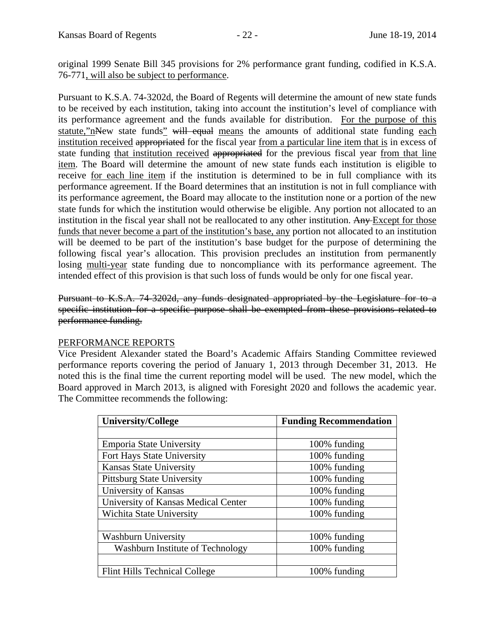original 1999 Senate Bill 345 provisions for 2% performance grant funding, codified in K.S.A. 76-771, will also be subject to performance.

Pursuant to K.S.A. 74-3202d, the Board of Regents will determine the amount of new state funds to be received by each institution, taking into account the institution's level of compliance with its performance agreement and the funds available for distribution. For the purpose of this statute,"nNew state funds" will equal means the amounts of additional state funding each institution received appropriated for the fiscal year from a particular line item that is in excess of state funding that institution received appropriated for the previous fiscal year from that line item. The Board will determine the amount of new state funds each institution is eligible to receive for each line item if the institution is determined to be in full compliance with its performance agreement. If the Board determines that an institution is not in full compliance with its performance agreement, the Board may allocate to the institution none or a portion of the new state funds for which the institution would otherwise be eligible. Any portion not allocated to an institution in the fiscal year shall not be reallocated to any other institution. Any Except for those funds that never become a part of the institution's base, any portion not allocated to an institution will be deemed to be part of the institution's base budget for the purpose of determining the following fiscal year's allocation. This provision precludes an institution from permanently losing multi-year state funding due to noncompliance with its performance agreement. The intended effect of this provision is that such loss of funds would be only for one fiscal year.

Pursuant to K.S.A. 74-3202d, any funds designated appropriated by the Legislature for to a specific institution for a specific purpose shall be exempted from these provisions related to performance funding.

### PERFORMANCE REPORTS

Vice President Alexander stated the Board's Academic Affairs Standing Committee reviewed performance reports covering the period of January 1, 2013 through December 31, 2013. He noted this is the final time the current reporting model will be used. The new model, which the Board approved in March 2013, is aligned with Foresight 2020 and follows the academic year. The Committee recommends the following:

| <b>University/College</b>            | <b>Funding Recommendation</b> |
|--------------------------------------|-------------------------------|
|                                      |                               |
| <b>Emporia State University</b>      | 100% funding                  |
| Fort Hays State University           | 100% funding                  |
| <b>Kansas State University</b>       | 100% funding                  |
| <b>Pittsburg State University</b>    | 100% funding                  |
| University of Kansas                 | 100% funding                  |
| University of Kansas Medical Center  | 100% funding                  |
| Wichita State University             | 100% funding                  |
|                                      |                               |
| <b>Washburn University</b>           | 100% funding                  |
| Washburn Institute of Technology     | 100% funding                  |
|                                      |                               |
| <b>Flint Hills Technical College</b> | 100% funding                  |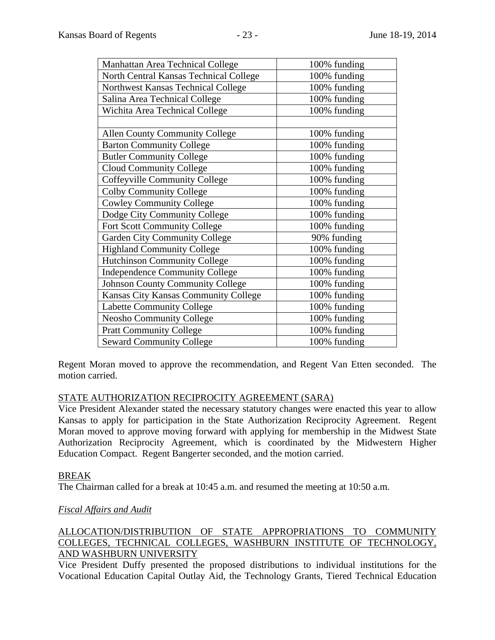| 100% funding |
|--------------|
| 100% funding |
| 100% funding |
| 100% funding |
| 100% funding |
|              |
| 100% funding |
| 100% funding |
| 100% funding |
| 100% funding |
| 100% funding |
| 100% funding |
| 100% funding |
| 100% funding |
| 100% funding |
| 90% funding  |
| 100% funding |
| 100% funding |
| 100% funding |
| 100% funding |
| 100% funding |
| 100% funding |
| 100% funding |
| 100% funding |
| 100% funding |
|              |

Regent Moran moved to approve the recommendation, and Regent Van Etten seconded. The motion carried.

### STATE AUTHORIZATION RECIPROCITY AGREEMENT (SARA)

Vice President Alexander stated the necessary statutory changes were enacted this year to allow Kansas to apply for participation in the State Authorization Reciprocity Agreement. Regent Moran moved to approve moving forward with applying for membership in the Midwest State Authorization Reciprocity Agreement, which is coordinated by the Midwestern Higher Education Compact. Regent Bangerter seconded, and the motion carried.

### BREAK

The Chairman called for a break at 10:45 a.m. and resumed the meeting at 10:50 a.m.

# *Fiscal Affairs and Audit*

# ALLOCATION/DISTRIBUTION OF STATE APPROPRIATIONS TO COMMUNITY COLLEGES, TECHNICAL COLLEGES, WASHBURN INSTITUTE OF TECHNOLOGY, AND WASHBURN UNIVERSITY

Vice President Duffy presented the proposed distributions to individual institutions for the Vocational Education Capital Outlay Aid, the Technology Grants, Tiered Technical Education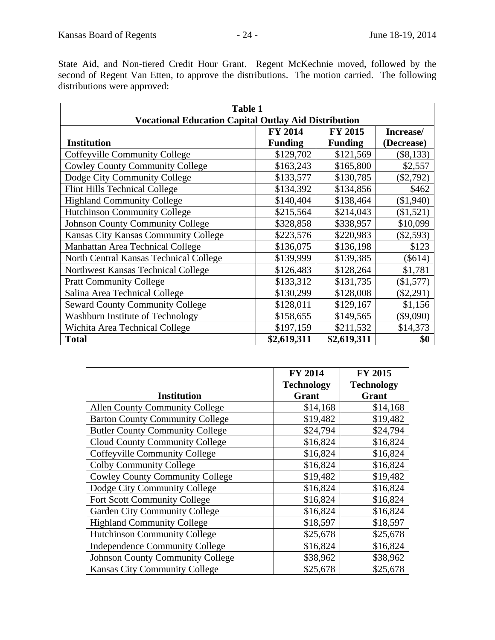State Aid, and Non-tiered Credit Hour Grant. Regent McKechnie moved, followed by the second of Regent Van Etten, to approve the distributions. The motion carried. The following distributions were approved:

| <b>Table 1</b>                                              |                |                |             |
|-------------------------------------------------------------|----------------|----------------|-------------|
| <b>Vocational Education Capital Outlay Aid Distribution</b> |                |                |             |
|                                                             | <b>FY 2014</b> | FY 2015        | Increase/   |
| <b>Institution</b>                                          | <b>Funding</b> | <b>Funding</b> | (Decrease)  |
| Coffeyville Community College                               | \$129,702      | \$121,569      | $(\$8,133)$ |
| <b>Cowley County Community College</b>                      | \$163,243      | \$165,800      | \$2,557     |
| Dodge City Community College                                | \$133,577      | \$130,785      | $(\$2,792)$ |
| <b>Flint Hills Technical College</b>                        | \$134,392      | \$134,856      | \$462       |
| <b>Highland Community College</b>                           | \$140,404      | \$138,464      | (\$1,940)   |
| <b>Hutchinson Community College</b>                         | \$215,564      | \$214,043      | (\$1,521)   |
| <b>Johnson County Community College</b>                     | \$328,858      | \$338,957      | \$10,099    |
| Kansas City Kansas Community College                        | \$223,576      | \$220,983      | $(\$2,593)$ |
| Manhattan Area Technical College                            | \$136,075      | \$136,198      | \$123       |
| North Central Kansas Technical College                      | \$139,999      | \$139,385      | (\$614)     |
| Northwest Kansas Technical College                          | \$126,483      | \$128,264      | \$1,781     |
| <b>Pratt Community College</b>                              | \$133,312      | \$131,735      | (\$1,577)   |
| Salina Area Technical College                               | \$130,299      | \$128,008      | $(\$2,291)$ |
| <b>Seward County Community College</b>                      | \$128,011      | \$129,167      | \$1,156     |
| <b>Washburn Institute of Technology</b>                     | \$158,655      | \$149,565      | $(\$9,090)$ |
| Wichita Area Technical College                              | \$197,159      | \$211,532      | \$14,373    |
| <b>Total</b>                                                | \$2,619,311    | \$2,619,311    | \$0         |

|                                         | <b>FY 2014</b>    | <b>FY 2015</b>    |
|-----------------------------------------|-------------------|-------------------|
|                                         | <b>Technology</b> | <b>Technology</b> |
| <b>Institution</b>                      | Grant             | Grant             |
| <b>Allen County Community College</b>   | \$14,168          | \$14,168          |
| <b>Barton County Community College</b>  | \$19,482          | \$19,482          |
| <b>Butler County Community College</b>  | \$24,794          | \$24,794          |
| <b>Cloud County Community College</b>   | \$16,824          | \$16,824          |
| <b>Coffeyville Community College</b>    | \$16,824          | \$16,824          |
| <b>Colby Community College</b>          | \$16,824          | \$16,824          |
| <b>Cowley County Community College</b>  | \$19,482          | \$19,482          |
| Dodge City Community College            | \$16,824          | \$16,824          |
| <b>Fort Scott Community College</b>     | \$16,824          | \$16,824          |
| <b>Garden City Community College</b>    | \$16,824          | \$16,824          |
| <b>Highland Community College</b>       | \$18,597          | \$18,597          |
| <b>Hutchinson Community College</b>     | \$25,678          | \$25,678          |
| <b>Independence Community College</b>   | \$16,824          | \$16,824          |
| <b>Johnson County Community College</b> | \$38,962          | \$38,962          |
| <b>Kansas City Community College</b>    | \$25,678          | \$25,678          |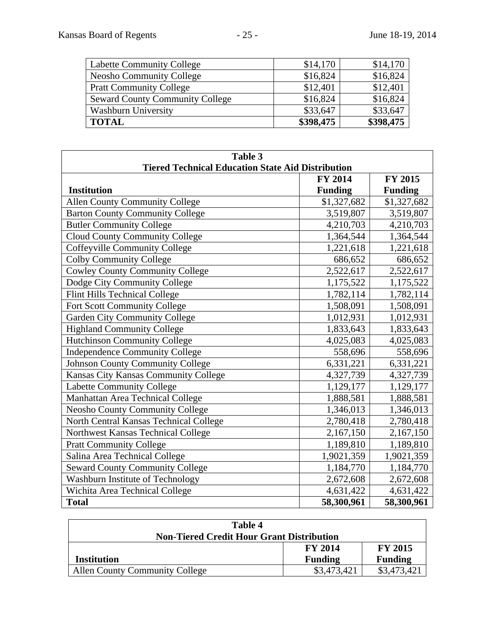| <b>Labette Community College</b>       | \$14,170  | \$14,170  |
|----------------------------------------|-----------|-----------|
| <b>Neosho Community College</b>        | \$16,824  | \$16,824  |
| <b>Pratt Community College</b>         | \$12,401  | \$12,401  |
| <b>Seward County Community College</b> | \$16,824  | \$16,824  |
| <b>Washburn University</b>             | \$33,647  | \$33,647  |
| <b>TOTAL</b>                           | \$398,475 | \$398,475 |

| Table 3                                                  |                |                |  |  |
|----------------------------------------------------------|----------------|----------------|--|--|
| <b>Tiered Technical Education State Aid Distribution</b> |                |                |  |  |
|                                                          | <b>FY 2014</b> | FY 2015        |  |  |
| <b>Institution</b>                                       | <b>Funding</b> | <b>Funding</b> |  |  |
| <b>Allen County Community College</b>                    | \$1,327,682    | \$1,327,682    |  |  |
| <b>Barton County Community College</b>                   | 3,519,807      | 3,519,807      |  |  |
| <b>Butler Community College</b>                          | 4,210,703      | 4,210,703      |  |  |
| <b>Cloud County Community College</b>                    | 1,364,544      | 1,364,544      |  |  |
| <b>Coffeyville Community College</b>                     | 1,221,618      | 1,221,618      |  |  |
| <b>Colby Community College</b>                           | 686,652        | 686,652        |  |  |
| <b>Cowley County Community College</b>                   | 2,522,617      | 2,522,617      |  |  |
| Dodge City Community College                             | 1,175,522      | 1,175,522      |  |  |
| Flint Hills Technical College                            | 1,782,114      | 1,782,114      |  |  |
| Fort Scott Community College                             | 1,508,091      | 1,508,091      |  |  |
| <b>Garden City Community College</b>                     | 1,012,931      | 1,012,931      |  |  |
| <b>Highland Community College</b>                        | 1,833,643      | 1,833,643      |  |  |
| <b>Hutchinson Community College</b>                      | 4,025,083      | 4,025,083      |  |  |
| <b>Independence Community College</b>                    | 558,696        | 558,696        |  |  |
| <b>Johnson County Community College</b>                  | 6,331,221      | 6,331,221      |  |  |
| Kansas City Kansas Community College                     | 4,327,739      | 4,327,739      |  |  |
| Labette Community College                                | 1,129,177      | 1,129,177      |  |  |
| Manhattan Area Technical College                         | 1,888,581      | 1,888,581      |  |  |
| <b>Neosho County Community College</b>                   | 1,346,013      | 1,346,013      |  |  |
| North Central Kansas Technical College                   | 2,780,418      | 2,780,418      |  |  |
| Northwest Kansas Technical College                       | 2,167,150      | 2,167,150      |  |  |
| <b>Pratt Community College</b>                           | 1,189,810      | 1,189,810      |  |  |
| Salina Area Technical College                            | 1,9021,359     | 1,9021,359     |  |  |
| <b>Seward County Community College</b>                   | 1,184,770      | 1,184,770      |  |  |
| Washburn Institute of Technology                         | 2,672,608      | 2,672,608      |  |  |
| Wichita Area Technical College                           | 4,631,422      | 4,631,422      |  |  |
| <b>Total</b>                                             | 58,300,961     | 58,300,961     |  |  |

| Table 4                                          |                |                |  |
|--------------------------------------------------|----------------|----------------|--|
| <b>Non-Tiered Credit Hour Grant Distribution</b> |                |                |  |
|                                                  | <b>FY 2014</b> | <b>FY 2015</b> |  |
| Institution                                      | <b>Funding</b> | <b>Funding</b> |  |
| <b>Allen County Community College</b>            | \$3,473,421    | \$3,473,421    |  |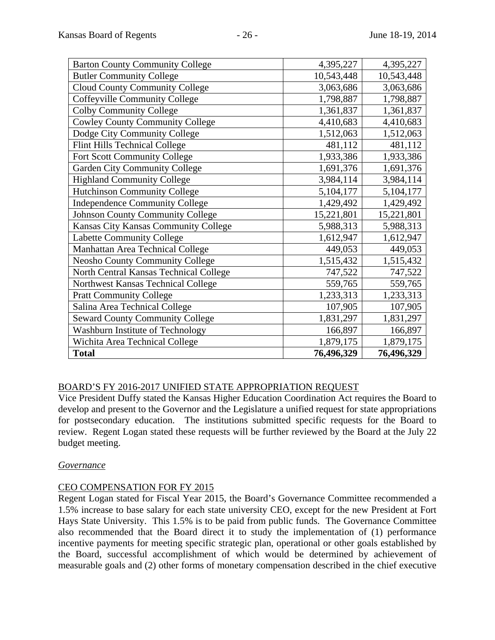| <b>Barton County Community College</b>  | 4,395,227  | 4,395,227  |
|-----------------------------------------|------------|------------|
| <b>Butler Community College</b>         | 10,543,448 | 10,543,448 |
| <b>Cloud County Community College</b>   | 3,063,686  | 3,063,686  |
| Coffeyville Community College           | 1,798,887  | 1,798,887  |
| <b>Colby Community College</b>          | 1,361,837  | 1,361,837  |
| <b>Cowley County Community College</b>  | 4,410,683  | 4,410,683  |
| Dodge City Community College            | 1,512,063  | 1,512,063  |
| Flint Hills Technical College           | 481,112    | 481,112    |
| Fort Scott Community College            | 1,933,386  | 1,933,386  |
| <b>Garden City Community College</b>    | 1,691,376  | 1,691,376  |
| <b>Highland Community College</b>       | 3,984,114  | 3,984,114  |
| <b>Hutchinson Community College</b>     | 5,104,177  | 5,104,177  |
| <b>Independence Community College</b>   | 1,429,492  | 1,429,492  |
| <b>Johnson County Community College</b> | 15,221,801 | 15,221,801 |
| Kansas City Kansas Community College    | 5,988,313  | 5,988,313  |
| <b>Labette Community College</b>        | 1,612,947  | 1,612,947  |
| Manhattan Area Technical College        | 449,053    | 449,053    |
| <b>Neosho County Community College</b>  | 1,515,432  | 1,515,432  |
| North Central Kansas Technical College  | 747,522    | 747,522    |
| Northwest Kansas Technical College      | 559,765    | 559,765    |
| <b>Pratt Community College</b>          | 1,233,313  | 1,233,313  |
| Salina Area Technical College           | 107,905    | 107,905    |
| <b>Seward County Community College</b>  | 1,831,297  | 1,831,297  |
| Washburn Institute of Technology        | 166,897    | 166,897    |
| Wichita Area Technical College          | 1,879,175  | 1,879,175  |
| <b>Total</b>                            | 76,496,329 | 76,496,329 |

# BOARD'S FY 2016-2017 UNIFIED STATE APPROPRIATION REQUEST

Vice President Duffy stated the Kansas Higher Education Coordination Act requires the Board to develop and present to the Governor and the Legislature a unified request for state appropriations for postsecondary education. The institutions submitted specific requests for the Board to review. Regent Logan stated these requests will be further reviewed by the Board at the July 22 budget meeting.

### *Governance*

# CEO COMPENSATION FOR FY 2015

Regent Logan stated for Fiscal Year 2015, the Board's Governance Committee recommended a 1.5% increase to base salary for each state university CEO, except for the new President at Fort Hays State University. This 1.5% is to be paid from public funds. The Governance Committee also recommended that the Board direct it to study the implementation of (1) performance incentive payments for meeting specific strategic plan, operational or other goals established by the Board, successful accomplishment of which would be determined by achievement of measurable goals and (2) other forms of monetary compensation described in the chief executive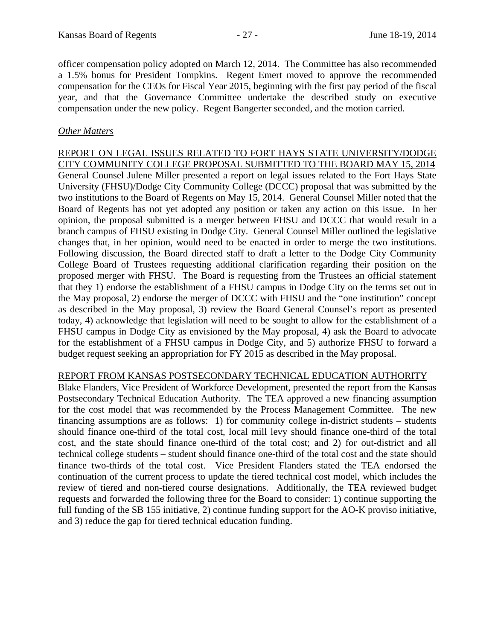officer compensation policy adopted on March 12, 2014. The Committee has also recommended a 1.5% bonus for President Tompkins. Regent Emert moved to approve the recommended compensation for the CEOs for Fiscal Year 2015, beginning with the first pay period of the fiscal year, and that the Governance Committee undertake the described study on executive compensation under the new policy. Regent Bangerter seconded, and the motion carried.

## *Other Matters*

REPORT ON LEGAL ISSUES RELATED TO FORT HAYS STATE UNIVERSITY/DODGE CITY COMMUNITY COLLEGE PROPOSAL SUBMITTED TO THE BOARD MAY 15, 2014 General Counsel Julene Miller presented a report on legal issues related to the Fort Hays State University (FHSU)/Dodge City Community College (DCCC) proposal that was submitted by the two institutions to the Board of Regents on May 15, 2014. General Counsel Miller noted that the Board of Regents has not yet adopted any position or taken any action on this issue. In her opinion, the proposal submitted is a merger between FHSU and DCCC that would result in a branch campus of FHSU existing in Dodge City. General Counsel Miller outlined the legislative changes that, in her opinion, would need to be enacted in order to merge the two institutions. Following discussion, the Board directed staff to draft a letter to the Dodge City Community College Board of Trustees requesting additional clarification regarding their position on the proposed merger with FHSU. The Board is requesting from the Trustees an official statement that they 1) endorse the establishment of a FHSU campus in Dodge City on the terms set out in the May proposal, 2) endorse the merger of DCCC with FHSU and the "one institution" concept as described in the May proposal, 3) review the Board General Counsel's report as presented today, 4) acknowledge that legislation will need to be sought to allow for the establishment of a FHSU campus in Dodge City as envisioned by the May proposal, 4) ask the Board to advocate for the establishment of a FHSU campus in Dodge City, and 5) authorize FHSU to forward a budget request seeking an appropriation for FY 2015 as described in the May proposal.

### REPORT FROM KANSAS POSTSECONDARY TECHNICAL EDUCATION AUTHORITY

Blake Flanders, Vice President of Workforce Development, presented the report from the Kansas Postsecondary Technical Education Authority. The TEA approved a new financing assumption for the cost model that was recommended by the Process Management Committee. The new financing assumptions are as follows: 1) for community college in-district students – students should finance one-third of the total cost, local mill levy should finance one-third of the total cost, and the state should finance one-third of the total cost; and 2) for out-district and all technical college students – student should finance one-third of the total cost and the state should finance two-thirds of the total cost. Vice President Flanders stated the TEA endorsed the continuation of the current process to update the tiered technical cost model, which includes the review of tiered and non-tiered course designations. Additionally, the TEA reviewed budget requests and forwarded the following three for the Board to consider: 1) continue supporting the full funding of the SB 155 initiative, 2) continue funding support for the AO-K proviso initiative, and 3) reduce the gap for tiered technical education funding.